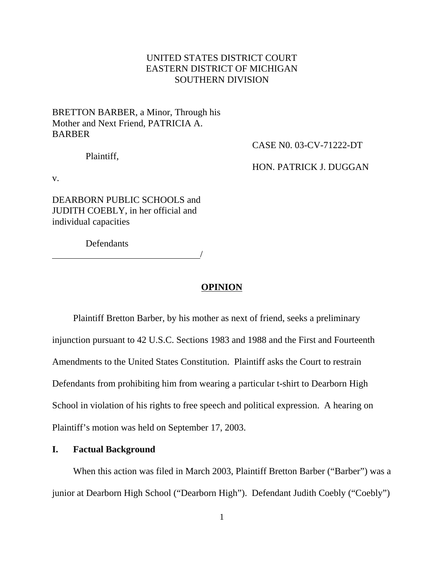# UNITED STATES DISTRICT COURT EASTERN DISTRICT OF MICHIGAN SOUTHERN DIVISION

# BRETTON BARBER, a Minor, Through his Mother and Next Friend, PATRICIA A. BARBER

Plaintiff,

CASE N0. 03-CV-71222-DT

HON. PATRICK J. DUGGAN

v.

DEARBORN PUBLIC SCHOOLS and JUDITH COEBLY, in her official and individual capacities

Defendants

<u>/</u>

# **OPINION**

Plaintiff Bretton Barber, by his mother as next of friend, seeks a preliminary injunction pursuant to 42 U.S.C. Sections 1983 and 1988 and the First and Fourteenth Amendments to the United States Constitution. Plaintiff asks the Court to restrain Defendants from prohibiting him from wearing a particular t-shirt to Dearborn High School in violation of his rights to free speech and political expression. A hearing on Plaintiff's motion was held on September 17, 2003.

## **I. Factual Background**

When this action was filed in March 2003, Plaintiff Bretton Barber ("Barber") was a junior at Dearborn High School ("Dearborn High"). Defendant Judith Coebly ("Coebly")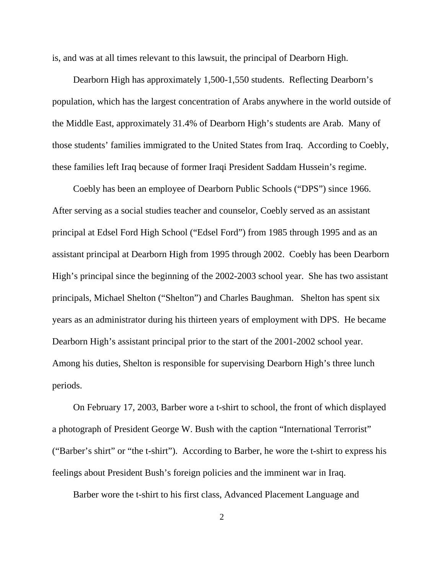is, and was at all times relevant to this lawsuit, the principal of Dearborn High.

Dearborn High has approximately 1,500-1,550 students. Reflecting Dearborn's population, which has the largest concentration of Arabs anywhere in the world outside of the Middle East, approximately 31.4% of Dearborn High's students are Arab. Many of those students' families immigrated to the United States from Iraq. According to Coebly, these families left Iraq because of former Iraqi President Saddam Hussein's regime.

Coebly has been an employee of Dearborn Public Schools ("DPS") since 1966. After serving as a social studies teacher and counselor, Coebly served as an assistant principal at Edsel Ford High School ("Edsel Ford") from 1985 through 1995 and as an assistant principal at Dearborn High from 1995 through 2002. Coebly has been Dearborn High's principal since the beginning of the 2002-2003 school year. She has two assistant principals, Michael Shelton ("Shelton") and Charles Baughman. Shelton has spent six years as an administrator during his thirteen years of employment with DPS. He became Dearborn High's assistant principal prior to the start of the 2001-2002 school year. Among his duties, Shelton is responsible for supervising Dearborn High's three lunch periods.

On February 17, 2003, Barber wore a t-shirt to school, the front of which displayed a photograph of President George W. Bush with the caption "International Terrorist" ("Barber's shirt" or "the t-shirt"). According to Barber, he wore the t-shirt to express his feelings about President Bush's foreign policies and the imminent war in Iraq.

Barber wore the t-shirt to his first class, Advanced Placement Language and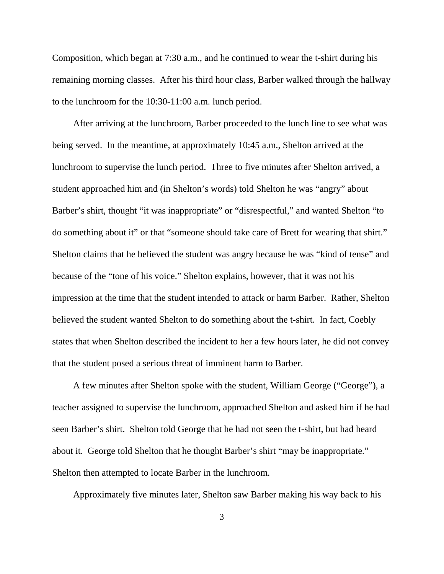Composition, which began at 7:30 a.m., and he continued to wear the t-shirt during his remaining morning classes. After his third hour class, Barber walked through the hallway to the lunchroom for the 10:30-11:00 a.m. lunch period.

After arriving at the lunchroom, Barber proceeded to the lunch line to see what was being served. In the meantime, at approximately 10:45 a.m., Shelton arrived at the lunchroom to supervise the lunch period. Three to five minutes after Shelton arrived, a student approached him and (in Shelton's words) told Shelton he was "angry" about Barber's shirt, thought "it was inappropriate" or "disrespectful," and wanted Shelton "to do something about it" or that "someone should take care of Brett for wearing that shirt." Shelton claims that he believed the student was angry because he was "kind of tense" and because of the "tone of his voice." Shelton explains, however, that it was not his impression at the time that the student intended to attack or harm Barber. Rather, Shelton believed the student wanted Shelton to do something about the t-shirt. In fact, Coebly states that when Shelton described the incident to her a few hours later, he did not convey that the student posed a serious threat of imminent harm to Barber.

A few minutes after Shelton spoke with the student, William George ("George"), a teacher assigned to supervise the lunchroom, approached Shelton and asked him if he had seen Barber's shirt. Shelton told George that he had not seen the t-shirt, but had heard about it. George told Shelton that he thought Barber's shirt "may be inappropriate." Shelton then attempted to locate Barber in the lunchroom.

Approximately five minutes later, Shelton saw Barber making his way back to his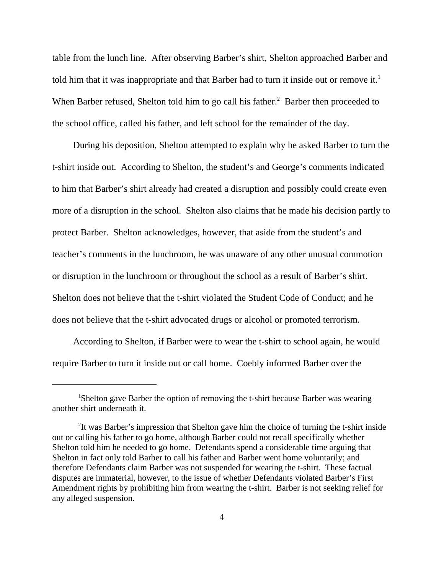table from the lunch line. After observing Barber's shirt, Shelton approached Barber and told him that it was inappropriate and that Barber had to turn it inside out or remove it.<sup>1</sup> When Barber refused, Shelton told him to go call his father.<sup>2</sup> Barber then proceeded to the school office, called his father, and left school for the remainder of the day.

During his deposition, Shelton attempted to explain why he asked Barber to turn the t-shirt inside out. According to Shelton, the student's and George's comments indicated to him that Barber's shirt already had created a disruption and possibly could create even more of a disruption in the school. Shelton also claims that he made his decision partly to protect Barber. Shelton acknowledges, however, that aside from the student's and teacher's comments in the lunchroom, he was unaware of any other unusual commotion or disruption in the lunchroom or throughout the school as a result of Barber's shirt. Shelton does not believe that the t-shirt violated the Student Code of Conduct; and he does not believe that the t-shirt advocated drugs or alcohol or promoted terrorism.

According to Shelton, if Barber were to wear the t-shirt to school again, he would require Barber to turn it inside out or call home. Coebly informed Barber over the

<sup>&</sup>lt;sup>1</sup>Shelton gave Barber the option of removing the t-shirt because Barber was wearing another shirt underneath it.

<sup>&</sup>lt;sup>2</sup>It was Barber's impression that Shelton gave him the choice of turning the t-shirt inside out or calling his father to go home, although Barber could not recall specifically whether Shelton told him he needed to go home. Defendants spend a considerable time arguing that Shelton in fact only told Barber to call his father and Barber went home voluntarily; and therefore Defendants claim Barber was not suspended for wearing the t-shirt. These factual disputes are immaterial, however, to the issue of whether Defendants violated Barber's First Amendment rights by prohibiting him from wearing the t-shirt. Barber is not seeking relief for any alleged suspension.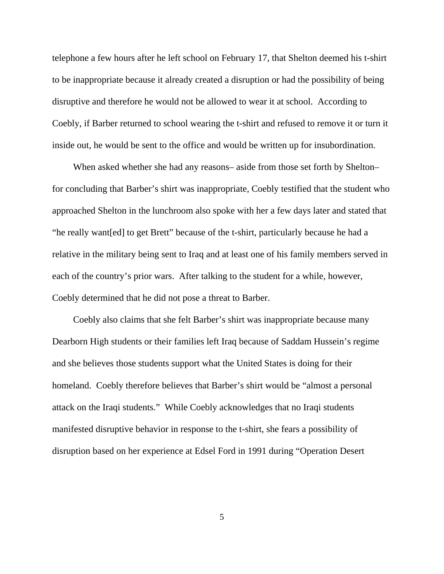telephone a few hours after he left school on February 17, that Shelton deemed his t-shirt to be inappropriate because it already created a disruption or had the possibility of being disruptive and therefore he would not be allowed to wear it at school. According to Coebly, if Barber returned to school wearing the t-shirt and refused to remove it or turn it inside out, he would be sent to the office and would be written up for insubordination.

When asked whether she had any reasons– aside from those set forth by Shelton– for concluding that Barber's shirt was inappropriate, Coebly testified that the student who approached Shelton in the lunchroom also spoke with her a few days later and stated that "he really want[ed] to get Brett" because of the t-shirt, particularly because he had a relative in the military being sent to Iraq and at least one of his family members served in each of the country's prior wars. After talking to the student for a while, however, Coebly determined that he did not pose a threat to Barber.

Coebly also claims that she felt Barber's shirt was inappropriate because many Dearborn High students or their families left Iraq because of Saddam Hussein's regime and she believes those students support what the United States is doing for their homeland. Coebly therefore believes that Barber's shirt would be "almost a personal attack on the Iraqi students." While Coebly acknowledges that no Iraqi students manifested disruptive behavior in response to the t-shirt, she fears a possibility of disruption based on her experience at Edsel Ford in 1991 during "Operation Desert

5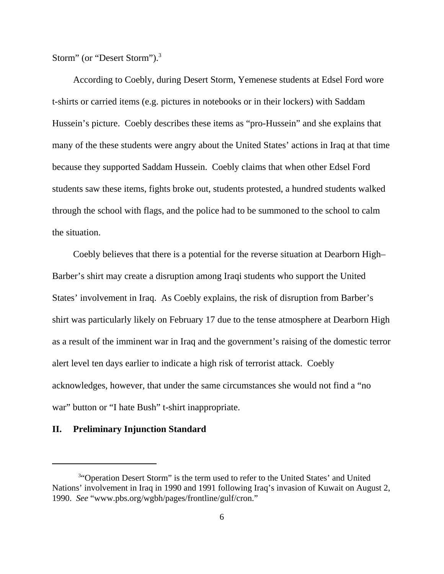Storm" (or "Desert Storm").3

According to Coebly, during Desert Storm, Yemenese students at Edsel Ford wore t-shirts or carried items (e.g. pictures in notebooks or in their lockers) with Saddam Hussein's picture. Coebly describes these items as "pro-Hussein" and she explains that many of the these students were angry about the United States' actions in Iraq at that time because they supported Saddam Hussein. Coebly claims that when other Edsel Ford students saw these items, fights broke out, students protested, a hundred students walked through the school with flags, and the police had to be summoned to the school to calm the situation.

Coebly believes that there is a potential for the reverse situation at Dearborn High– Barber's shirt may create a disruption among Iraqi students who support the United States' involvement in Iraq. As Coebly explains, the risk of disruption from Barber's shirt was particularly likely on February 17 due to the tense atmosphere at Dearborn High as a result of the imminent war in Iraq and the government's raising of the domestic terror alert level ten days earlier to indicate a high risk of terrorist attack. Coebly acknowledges, however, that under the same circumstances she would not find a "no war" button or "I hate Bush" t-shirt inappropriate.

## **II. Preliminary Injunction Standard**

<sup>&</sup>lt;sup>3</sup>"Operation Desert Storm" is the term used to refer to the United States' and United Nations' involvement in Iraq in 1990 and 1991 following Iraq's invasion of Kuwait on August 2, 1990. *See* "www.pbs.org/wgbh/pages/frontline/gulf/cron."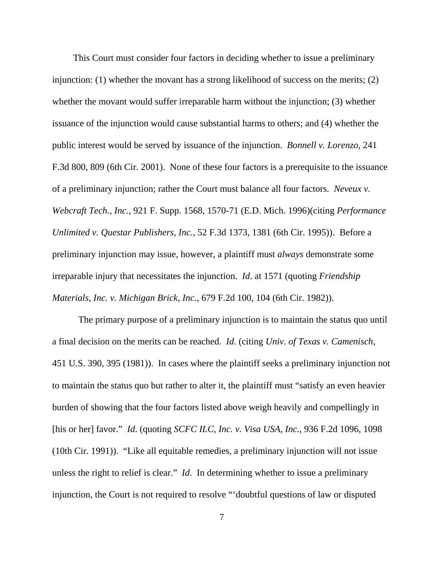This Court must consider four factors in deciding whether to issue a preliminary injunction: (1) whether the movant has a strong likelihood of success on the merits; (2) whether the movant would suffer irreparable harm without the injunction; (3) whether issuance of the injunction would cause substantial harms to others; and (4) whether the public interest would be served by issuance of the injunction. *Bonnell v. Lorenzo*, 241 F.3d 800, 809 (6th Cir. 2001). None of these four factors is a prerequisite to the issuance of a preliminary injunction; rather the Court must balance all four factors. *Neveux v. Webcraft Tech., Inc.*, 921 F. Supp. 1568, 1570-71 (E.D. Mich. 1996)(citing *Performance Unlimited v. Questar Publishers, Inc.*, 52 F.3d 1373, 1381 (6th Cir. 1995)). Before a preliminary injunction may issue, however, a plaintiff must *always* demonstrate some irreparable injury that necessitates the injunction. *Id*. at 1571 (quoting *Friendship Materials, Inc. v. Michigan Brick, Inc.*, 679 F.2d 100, 104 (6th Cir. 1982)).

The primary purpose of a preliminary injunction is to maintain the status quo until a final decision on the merits can be reached. *Id*. (citing *Univ. of Texas v. Camenisch*, 451 U.S. 390, 395 (1981)). In cases where the plaintiff seeks a preliminary injunction not to maintain the status quo but rather to alter it, the plaintiff must "satisfy an even heavier burden of showing that the four factors listed above weigh heavily and compellingly in [his or her] favor." *Id*. (quoting *SCFC ILC, Inc. v. Visa USA, Inc.*, 936 F.2d 1096, 1098 (10th Cir. 1991)). "Like all equitable remedies, a preliminary injunction will not issue unless the right to relief is clear." *Id*. In determining whether to issue a preliminary injunction, the Court is not required to resolve "'doubtful questions of law or disputed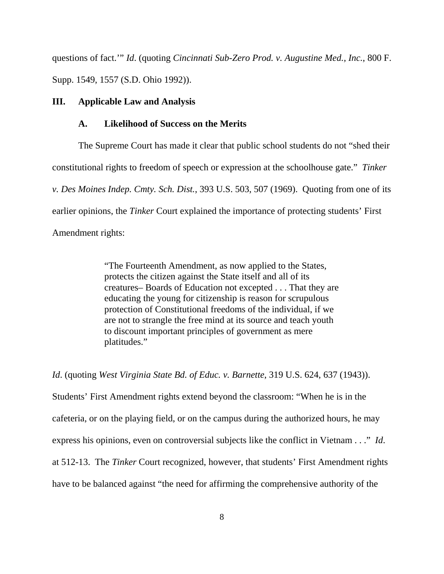questions of fact.'" *Id*. (quoting *Cincinnati Sub-Zero Prod. v. Augustine Med., Inc.*, 800 F. Supp. 1549, 1557 (S.D. Ohio 1992)).

#### **III. Applicable Law and Analysis**

# **A. Likelihood of Success on the Merits**

The Supreme Court has made it clear that public school students do not "shed their constitutional rights to freedom of speech or expression at the schoolhouse gate." *Tinker v. Des Moines Indep. Cmty. Sch. Dist.*, 393 U.S. 503, 507 (1969). Quoting from one of its earlier opinions, the *Tinker* Court explained the importance of protecting students' First Amendment rights:

> "The Fourteenth Amendment, as now applied to the States, protects the citizen against the State itself and all of its creatures– Boards of Education not excepted . . . That they are educating the young for citizenship is reason for scrupulous protection of Constitutional freedoms of the individual, if we are not to strangle the free mind at its source and teach youth to discount important principles of government as mere platitudes."

*Id*. (quoting *West Virginia State Bd. of Educ. v. Barnette*, 319 U.S. 624, 637 (1943)). Students' First Amendment rights extend beyond the classroom: "When he is in the cafeteria, or on the playing field, or on the campus during the authorized hours, he may express his opinions, even on controversial subjects like the conflict in Vietnam . . ." *Id*. at 512-13. The *Tinker* Court recognized, however, that students' First Amendment rights have to be balanced against "the need for affirming the comprehensive authority of the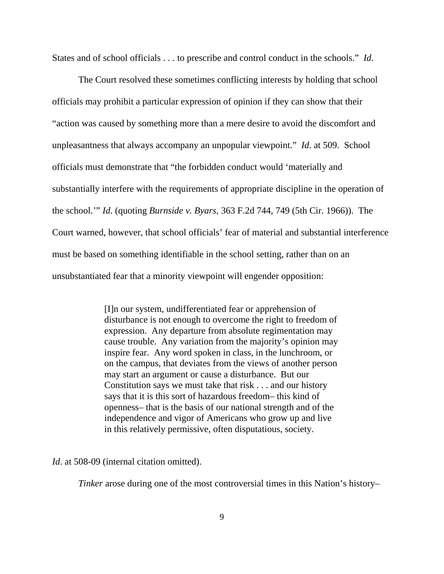States and of school officials . . . to prescribe and control conduct in the schools." *Id*.

The Court resolved these sometimes conflicting interests by holding that school officials may prohibit a particular expression of opinion if they can show that their "action was caused by something more than a mere desire to avoid the discomfort and unpleasantness that always accompany an unpopular viewpoint." *Id*. at 509. School officials must demonstrate that "the forbidden conduct would 'materially and substantially interfere with the requirements of appropriate discipline in the operation of the school.'" *Id*. (quoting *Burnside v. Byars*, 363 F.2d 744, 749 (5th Cir. 1966)). The Court warned, however, that school officials' fear of material and substantial interference must be based on something identifiable in the school setting, rather than on an unsubstantiated fear that a minority viewpoint will engender opposition:

> [I]n our system, undifferentiated fear or apprehension of disturbance is not enough to overcome the right to freedom of expression. Any departure from absolute regimentation may cause trouble. Any variation from the majority's opinion may inspire fear. Any word spoken in class, in the lunchroom, or on the campus, that deviates from the views of another person may start an argument or cause a disturbance. But our Constitution says we must take that risk . . . and our history says that it is this sort of hazardous freedom– this kind of openness– that is the basis of our national strength and of the independence and vigor of Americans who grow up and live in this relatively permissive, often disputatious, society.

*Id.* at 508-09 (internal citation omitted).

*Tinker* arose during one of the most controversial times in this Nation's history–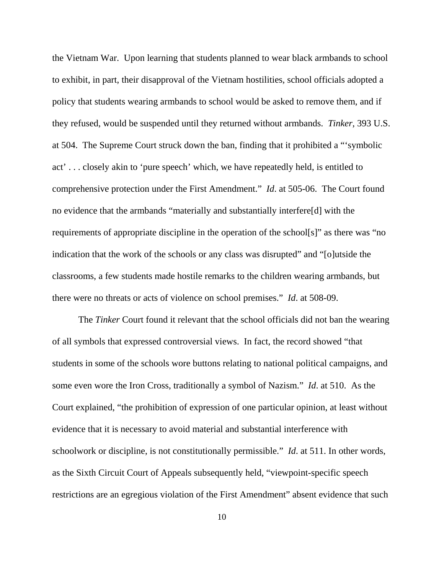the Vietnam War. Upon learning that students planned to wear black armbands to school to exhibit, in part, their disapproval of the Vietnam hostilities, school officials adopted a policy that students wearing armbands to school would be asked to remove them, and if they refused, would be suspended until they returned without armbands. *Tinker*, 393 U.S. at 504. The Supreme Court struck down the ban, finding that it prohibited a "'symbolic act' . . . closely akin to 'pure speech' which, we have repeatedly held, is entitled to comprehensive protection under the First Amendment." *Id*. at 505-06. The Court found no evidence that the armbands "materially and substantially interfere[d] with the requirements of appropriate discipline in the operation of the school[s]" as there was "no indication that the work of the schools or any class was disrupted" and "[o]utside the classrooms, a few students made hostile remarks to the children wearing armbands, but there were no threats or acts of violence on school premises." *Id*. at 508-09.

The *Tinker* Court found it relevant that the school officials did not ban the wearing of all symbols that expressed controversial views. In fact, the record showed "that students in some of the schools wore buttons relating to national political campaigns, and some even wore the Iron Cross, traditionally a symbol of Nazism." *Id*. at 510. As the Court explained, "the prohibition of expression of one particular opinion, at least without evidence that it is necessary to avoid material and substantial interference with schoolwork or discipline, is not constitutionally permissible." *Id*. at 511. In other words, as the Sixth Circuit Court of Appeals subsequently held, "viewpoint-specific speech restrictions are an egregious violation of the First Amendment" absent evidence that such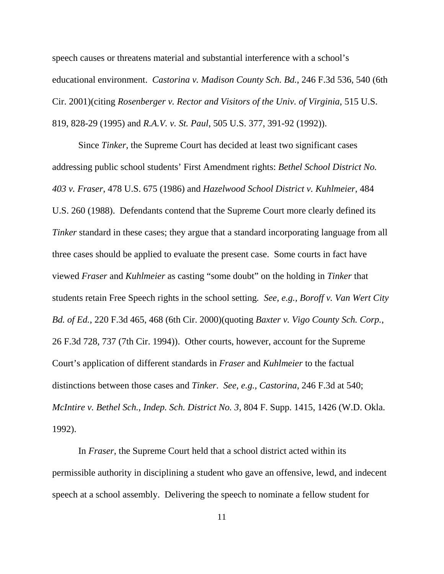speech causes or threatens material and substantial interference with a school's educational environment. *Castorina v. Madison County Sch. Bd.*, 246 F.3d 536, 540 (6th Cir. 2001)(citing *Rosenberger v. Rector and Visitors of the Univ. of Virginia*, 515 U.S. 819, 828-29 (1995) and *R.A.V. v. St. Paul*, 505 U.S. 377, 391-92 (1992)).

Since *Tinker*, the Supreme Court has decided at least two significant cases addressing public school students' First Amendment rights: *Bethel School District No. 403 v. Fraser*, 478 U.S. 675 (1986) and *Hazelwood School District v. Kuhlmeier*, 484 U.S. 260 (1988). Defendants contend that the Supreme Court more clearly defined its *Tinker* standard in these cases; they argue that a standard incorporating language from all three cases should be applied to evaluate the present case. Some courts in fact have viewed *Fraser* and *Kuhlmeier* as casting "some doubt" on the holding in *Tinker* that students retain Free Speech rights in the school setting*. See, e.g., Boroff v. Van Wert City Bd. of Ed.*, 220 F.3d 465, 468 (6th Cir. 2000)(quoting *Baxter v. Vigo County Sch. Corp.*, 26 F.3d 728, 737 (7th Cir. 1994)). Other courts, however, account for the Supreme Court's application of different standards in *Fraser* and *Kuhlmeier* to the factual distinctions between those cases and *Tinker*. *See, e.g., Castorina*, 246 F.3d at 540; *McIntire v. Bethel Sch., Indep. Sch. District No. 3*, 804 F. Supp. 1415, 1426 (W.D. Okla. 1992).

In *Fraser*, the Supreme Court held that a school district acted within its permissible authority in disciplining a student who gave an offensive, lewd, and indecent speech at a school assembly. Delivering the speech to nominate a fellow student for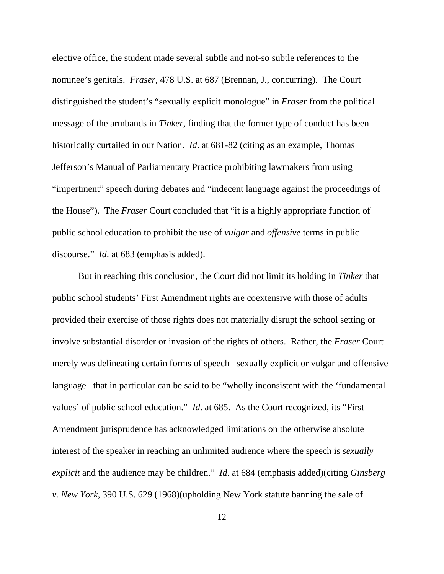elective office, the student made several subtle and not-so subtle references to the nominee's genitals. *Fraser*, 478 U.S. at 687 (Brennan, J., concurring). The Court distinguished the student's "sexually explicit monologue" in *Fraser* from the political message of the armbands in *Tinker*, finding that the former type of conduct has been historically curtailed in our Nation. *Id*. at 681-82 (citing as an example, Thomas Jefferson's Manual of Parliamentary Practice prohibiting lawmakers from using "impertinent" speech during debates and "indecent language against the proceedings of the House"). The *Fraser* Court concluded that "it is a highly appropriate function of public school education to prohibit the use of *vulgar* and *offensive* terms in public discourse." *Id*. at 683 (emphasis added).

But in reaching this conclusion, the Court did not limit its holding in *Tinker* that public school students' First Amendment rights are coextensive with those of adults provided their exercise of those rights does not materially disrupt the school setting or involve substantial disorder or invasion of the rights of others. Rather, the *Fraser* Court merely was delineating certain forms of speech– sexually explicit or vulgar and offensive language– that in particular can be said to be "wholly inconsistent with the 'fundamental values' of public school education." *Id*. at 685. As the Court recognized, its "First Amendment jurisprudence has acknowledged limitations on the otherwise absolute interest of the speaker in reaching an unlimited audience where the speech is *sexually explicit* and the audience may be children." *Id*. at 684 (emphasis added)(citing *Ginsberg v. New York*, 390 U.S. 629 (1968)(upholding New York statute banning the sale of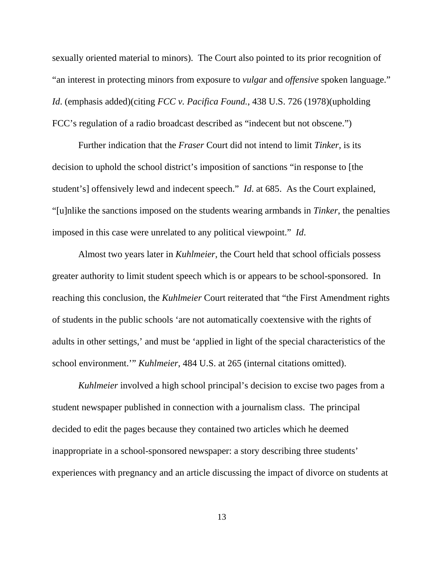sexually oriented material to minors). The Court also pointed to its prior recognition of "an interest in protecting minors from exposure to *vulgar* and *offensive* spoken language." *Id*. (emphasis added)(citing *FCC v. Pacifica Found.*, 438 U.S. 726 (1978)(upholding FCC's regulation of a radio broadcast described as "indecent but not obscene.")

Further indication that the *Fraser* Court did not intend to limit *Tinker,* is its decision to uphold the school district's imposition of sanctions "in response to [the student's] offensively lewd and indecent speech." *Id*. at 685. As the Court explained, "[u]nlike the sanctions imposed on the students wearing armbands in *Tinker*, the penalties imposed in this case were unrelated to any political viewpoint." *Id*.

Almost two years later in *Kuhlmeier*, the Court held that school officials possess greater authority to limit student speech which is or appears to be school-sponsored. In reaching this conclusion, the *Kuhlmeier* Court reiterated that "the First Amendment rights of students in the public schools 'are not automatically coextensive with the rights of adults in other settings,' and must be 'applied in light of the special characteristics of the school environment.'" *Kuhlmeier*, 484 U.S. at 265 (internal citations omitted).

*Kuhlmeier* involved a high school principal's decision to excise two pages from a student newspaper published in connection with a journalism class. The principal decided to edit the pages because they contained two articles which he deemed inappropriate in a school-sponsored newspaper: a story describing three students' experiences with pregnancy and an article discussing the impact of divorce on students at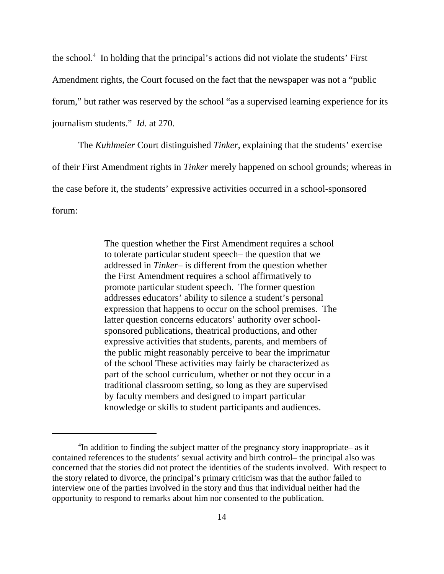the school.4 In holding that the principal's actions did not violate the students' First Amendment rights, the Court focused on the fact that the newspaper was not a "public forum," but rather was reserved by the school "as a supervised learning experience for its journalism students." *Id*. at 270.

The *Kuhlmeier* Court distinguished *Tinker*, explaining that the students' exercise of their First Amendment rights in *Tinker* merely happened on school grounds; whereas in the case before it, the students' expressive activities occurred in a school-sponsored forum:

> The question whether the First Amendment requires a school to tolerate particular student speech– the question that we addressed in *Tinker*– is different from the question whether the First Amendment requires a school affirmatively to promote particular student speech. The former question addresses educators' ability to silence a student's personal expression that happens to occur on the school premises. The latter question concerns educators' authority over schoolsponsored publications, theatrical productions, and other expressive activities that students, parents, and members of the public might reasonably perceive to bear the imprimatur of the school These activities may fairly be characterized as part of the school curriculum, whether or not they occur in a traditional classroom setting, so long as they are supervised by faculty members and designed to impart particular knowledge or skills to student participants and audiences.

<sup>&</sup>lt;sup>4</sup>In addition to finding the subject matter of the pregnancy story inappropriate– as it contained references to the students' sexual activity and birth control– the principal also was concerned that the stories did not protect the identities of the students involved. With respect to the story related to divorce, the principal's primary criticism was that the author failed to interview one of the parties involved in the story and thus that individual neither had the opportunity to respond to remarks about him nor consented to the publication.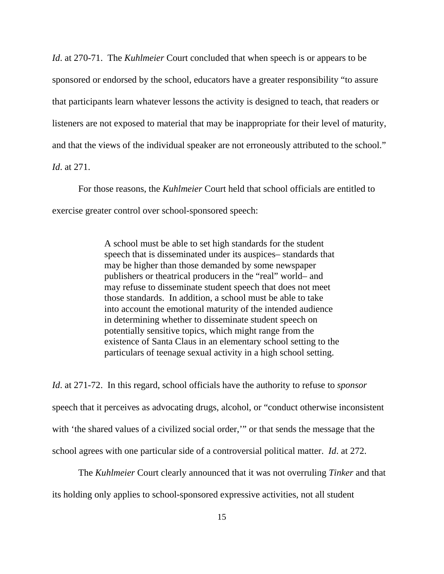*Id*. at 270-71. The *Kuhlmeier* Court concluded that when speech is or appears to be sponsored or endorsed by the school, educators have a greater responsibility "to assure that participants learn whatever lessons the activity is designed to teach, that readers or listeners are not exposed to material that may be inappropriate for their level of maturity, and that the views of the individual speaker are not erroneously attributed to the school." *Id*. at 271.

For those reasons, the *Kuhlmeier* Court held that school officials are entitled to exercise greater control over school-sponsored speech:

> A school must be able to set high standards for the student speech that is disseminated under its auspices– standards that may be higher than those demanded by some newspaper publishers or theatrical producers in the "real" world– and may refuse to disseminate student speech that does not meet those standards. In addition, a school must be able to take into account the emotional maturity of the intended audience in determining whether to disseminate student speech on potentially sensitive topics, which might range from the existence of Santa Claus in an elementary school setting to the particulars of teenage sexual activity in a high school setting.

*Id*. at 271-72. In this regard, school officials have the authority to refuse to *sponsor* speech that it perceives as advocating drugs, alcohol, or "conduct otherwise inconsistent with 'the shared values of a civilized social order,'" or that sends the message that the school agrees with one particular side of a controversial political matter. *Id*. at 272.

The *Kuhlmeier* Court clearly announced that it was not overruling *Tinker* and that its holding only applies to school-sponsored expressive activities, not all student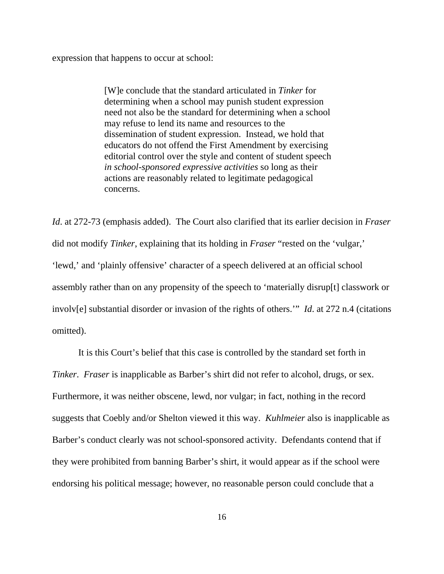expression that happens to occur at school:

[W]e conclude that the standard articulated in *Tinker* for determining when a school may punish student expression need not also be the standard for determining when a school may refuse to lend its name and resources to the dissemination of student expression. Instead, we hold that educators do not offend the First Amendment by exercising editorial control over the style and content of student speech *in school-sponsored expressive activities* so long as their actions are reasonably related to legitimate pedagogical concerns.

*Id*. at 272-73 (emphasis added). The Court also clarified that its earlier decision in *Fraser* did not modify *Tinker*, explaining that its holding in *Fraser* "rested on the 'vulgar,' 'lewd,' and 'plainly offensive' character of a speech delivered at an official school assembly rather than on any propensity of the speech to 'materially disrup[t] classwork or involv[e] substantial disorder or invasion of the rights of others.'" *Id*. at 272 n.4 (citations omitted).

It is this Court's belief that this case is controlled by the standard set forth in *Tinker*. *Fraser* is inapplicable as Barber's shirt did not refer to alcohol, drugs, or sex. Furthermore, it was neither obscene, lewd, nor vulgar; in fact, nothing in the record suggests that Coebly and/or Shelton viewed it this way. *Kuhlmeier* also is inapplicable as Barber's conduct clearly was not school-sponsored activity. Defendants contend that if they were prohibited from banning Barber's shirt, it would appear as if the school were endorsing his political message; however, no reasonable person could conclude that a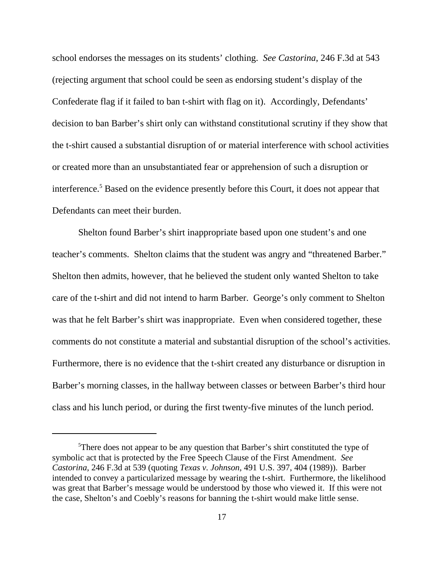school endorses the messages on its students' clothing. *See Castorina*, 246 F.3d at 543 (rejecting argument that school could be seen as endorsing student's display of the Confederate flag if it failed to ban t-shirt with flag on it). Accordingly, Defendants' decision to ban Barber's shirt only can withstand constitutional scrutiny if they show that the t-shirt caused a substantial disruption of or material interference with school activities or created more than an unsubstantiated fear or apprehension of such a disruption or interference.<sup>5</sup> Based on the evidence presently before this Court, it does not appear that Defendants can meet their burden.

Shelton found Barber's shirt inappropriate based upon one student's and one teacher's comments. Shelton claims that the student was angry and "threatened Barber." Shelton then admits, however, that he believed the student only wanted Shelton to take care of the t-shirt and did not intend to harm Barber. George's only comment to Shelton was that he felt Barber's shirt was inappropriate. Even when considered together, these comments do not constitute a material and substantial disruption of the school's activities. Furthermore, there is no evidence that the t-shirt created any disturbance or disruption in Barber's morning classes, in the hallway between classes or between Barber's third hour class and his lunch period, or during the first twenty-five minutes of the lunch period.

<sup>&</sup>lt;sup>5</sup>There does not appear to be any question that Barber's shirt constituted the type of symbolic act that is protected by the Free Speech Clause of the First Amendment. *See Castorina*, 246 F.3d at 539 (quoting *Texas v. Johnson*, 491 U.S. 397, 404 (1989)). Barber intended to convey a particularized message by wearing the t-shirt. Furthermore, the likelihood was great that Barber's message would be understood by those who viewed it. If this were not the case, Shelton's and Coebly's reasons for banning the t-shirt would make little sense.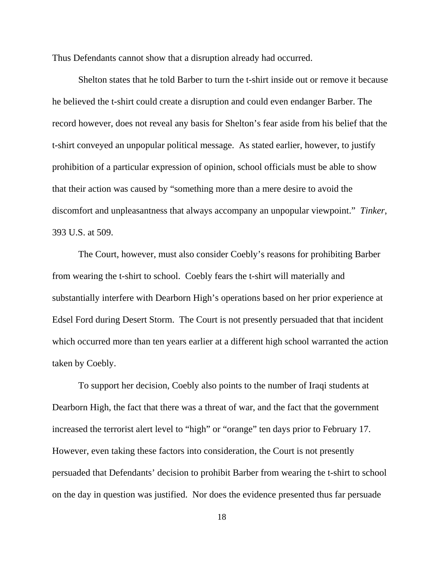Thus Defendants cannot show that a disruption already had occurred.

Shelton states that he told Barber to turn the t-shirt inside out or remove it because he believed the t-shirt could create a disruption and could even endanger Barber. The record however, does not reveal any basis for Shelton's fear aside from his belief that the t-shirt conveyed an unpopular political message. As stated earlier, however, to justify prohibition of a particular expression of opinion, school officials must be able to show that their action was caused by "something more than a mere desire to avoid the discomfort and unpleasantness that always accompany an unpopular viewpoint." *Tinker*, 393 U.S. at 509.

The Court, however, must also consider Coebly's reasons for prohibiting Barber from wearing the t-shirt to school. Coebly fears the t-shirt will materially and substantially interfere with Dearborn High's operations based on her prior experience at Edsel Ford during Desert Storm. The Court is not presently persuaded that that incident which occurred more than ten years earlier at a different high school warranted the action taken by Coebly.

To support her decision, Coebly also points to the number of Iraqi students at Dearborn High, the fact that there was a threat of war, and the fact that the government increased the terrorist alert level to "high" or "orange" ten days prior to February 17. However, even taking these factors into consideration, the Court is not presently persuaded that Defendants' decision to prohibit Barber from wearing the t-shirt to school on the day in question was justified. Nor does the evidence presented thus far persuade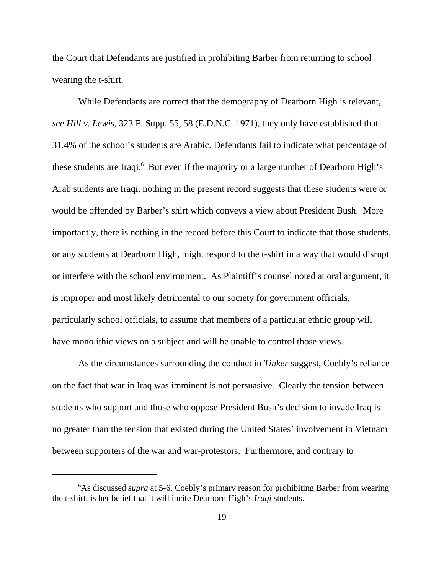the Court that Defendants are justified in prohibiting Barber from returning to school wearing the t-shirt.

While Defendants are correct that the demography of Dearborn High is relevant, *see Hill v. Lewis*, 323 F. Supp. 55, 58 (E.D.N.C. 1971), they only have established that 31.4% of the school's students are Arabic. Defendants fail to indicate what percentage of these students are Iraqi.<sup>6</sup> But even if the majority or a large number of Dearborn High's Arab students are Iraqi, nothing in the present record suggests that these students were or would be offended by Barber's shirt which conveys a view about President Bush. More importantly, there is nothing in the record before this Court to indicate that those students, or any students at Dearborn High, might respond to the t-shirt in a way that would disrupt or interfere with the school environment. As Plaintiff's counsel noted at oral argument, it is improper and most likely detrimental to our society for government officials, particularly school officials, to assume that members of a particular ethnic group will have monolithic views on a subject and will be unable to control those views.

As the circumstances surrounding the conduct in *Tinker* suggest, Coebly's reliance on the fact that war in Iraq was imminent is not persuasive. Clearly the tension between students who support and those who oppose President Bush's decision to invade Iraq is no greater than the tension that existed during the United States' involvement in Vietnam between supporters of the war and war-protestors. Furthermore, and contrary to

<sup>&</sup>lt;sup>6</sup>As discussed *supra* at 5-6, Coebly's primary reason for prohibiting Barber from wearing the t-shirt, is her belief that it will incite Dearborn High's *Iraqi* students.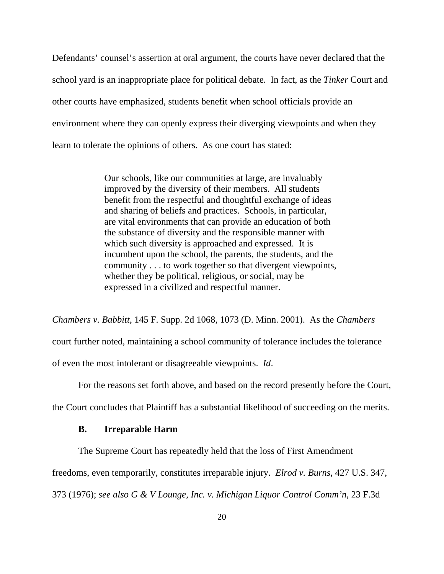Defendants' counsel's assertion at oral argument, the courts have never declared that the school yard is an inappropriate place for political debate. In fact, as the *Tinker* Court and other courts have emphasized, students benefit when school officials provide an environment where they can openly express their diverging viewpoints and when they learn to tolerate the opinions of others. As one court has stated:

> Our schools, like our communities at large, are invaluably improved by the diversity of their members. All students benefit from the respectful and thoughtful exchange of ideas and sharing of beliefs and practices. Schools, in particular, are vital environments that can provide an education of both the substance of diversity and the responsible manner with which such diversity is approached and expressed. It is incumbent upon the school, the parents, the students, and the community . . . to work together so that divergent viewpoints, whether they be political, religious, or social, may be expressed in a civilized and respectful manner.

*Chambers v. Babbitt*, 145 F. Supp. 2d 1068, 1073 (D. Minn. 2001). As the *Chambers* court further noted, maintaining a school community of tolerance includes the tolerance of even the most intolerant or disagreeable viewpoints. *Id*.

For the reasons set forth above, and based on the record presently before the Court,

the Court concludes that Plaintiff has a substantial likelihood of succeeding on the merits.

#### **B. Irreparable Harm**

The Supreme Court has repeatedly held that the loss of First Amendment

freedoms, even temporarily, constitutes irreparable injury. *Elrod v. Burns*, 427 U.S. 347,

373 (1976); *see also G & V Lounge, Inc. v. Michigan Liquor Control Comm'n*, 23 F.3d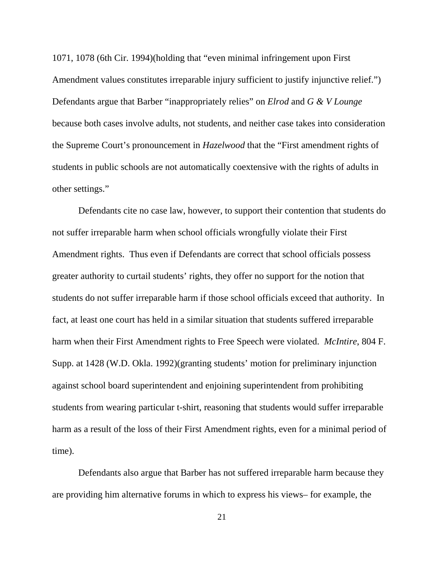1071, 1078 (6th Cir. 1994)(holding that "even minimal infringement upon First Amendment values constitutes irreparable injury sufficient to justify injunctive relief.") Defendants argue that Barber "inappropriately relies" on *Elrod* and *G & V Lounge* because both cases involve adults, not students, and neither case takes into consideration the Supreme Court's pronouncement in *Hazelwood* that the "First amendment rights of students in public schools are not automatically coextensive with the rights of adults in other settings."

Defendants cite no case law, however, to support their contention that students do not suffer irreparable harm when school officials wrongfully violate their First Amendment rights. Thus even if Defendants are correct that school officials possess greater authority to curtail students' rights, they offer no support for the notion that students do not suffer irreparable harm if those school officials exceed that authority. In fact, at least one court has held in a similar situation that students suffered irreparable harm when their First Amendment rights to Free Speech were violated. *McIntire*, 804 F. Supp. at 1428 (W.D. Okla. 1992)(granting students' motion for preliminary injunction against school board superintendent and enjoining superintendent from prohibiting students from wearing particular t-shirt, reasoning that students would suffer irreparable harm as a result of the loss of their First Amendment rights, even for a minimal period of time).

Defendants also argue that Barber has not suffered irreparable harm because they are providing him alternative forums in which to express his views– for example, the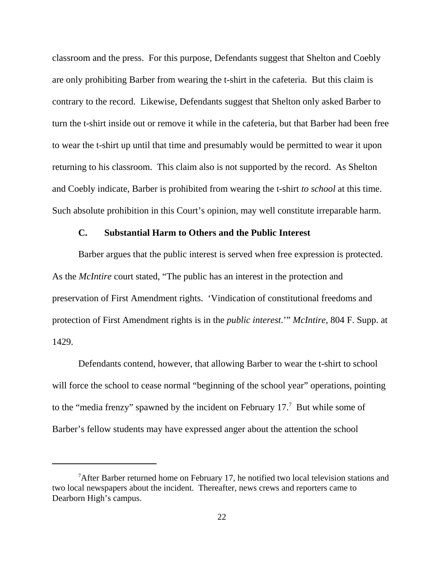classroom and the press. For this purpose, Defendants suggest that Shelton and Coebly are only prohibiting Barber from wearing the t-shirt in the cafeteria. But this claim is contrary to the record. Likewise, Defendants suggest that Shelton only asked Barber to turn the t-shirt inside out or remove it while in the cafeteria, but that Barber had been free to wear the t-shirt up until that time and presumably would be permitted to wear it upon returning to his classroom. This claim also is not supported by the record. As Shelton and Coebly indicate, Barber is prohibited from wearing the t-shirt *to school* at this time. Such absolute prohibition in this Court's opinion, may well constitute irreparable harm.

## **C. Substantial Harm to Others and the Public Interest**

Barber argues that the public interest is served when free expression is protected. As the *McIntire* court stated, "The public has an interest in the protection and preservation of First Amendment rights. 'Vindication of constitutional freedoms and protection of First Amendment rights is in the *public interest*.'" *McIntire*, 804 F. Supp. at 1429.

Defendants contend, however, that allowing Barber to wear the t-shirt to school will force the school to cease normal "beginning of the school year" operations, pointing to the "media frenzy" spawned by the incident on February  $17<sup>7</sup>$  But while some of Barber's fellow students may have expressed anger about the attention the school

<sup>&</sup>lt;sup>7</sup>After Barber returned home on February 17, he notified two local television stations and two local newspapers about the incident. Thereafter, news crews and reporters came to Dearborn High's campus.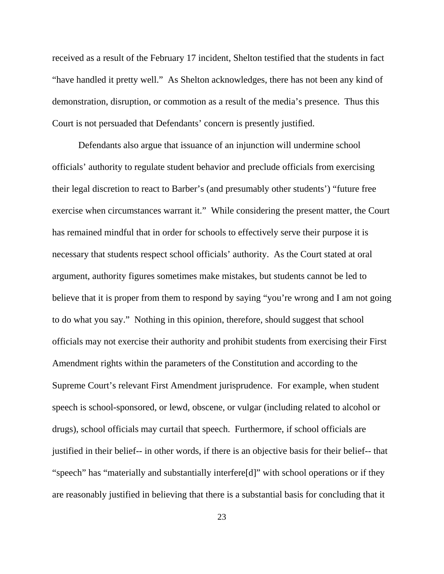received as a result of the February 17 incident, Shelton testified that the students in fact "have handled it pretty well." As Shelton acknowledges, there has not been any kind of demonstration, disruption, or commotion as a result of the media's presence. Thus this Court is not persuaded that Defendants' concern is presently justified.

Defendants also argue that issuance of an injunction will undermine school officials' authority to regulate student behavior and preclude officials from exercising their legal discretion to react to Barber's (and presumably other students') "future free exercise when circumstances warrant it." While considering the present matter, the Court has remained mindful that in order for schools to effectively serve their purpose it is necessary that students respect school officials' authority. As the Court stated at oral argument, authority figures sometimes make mistakes, but students cannot be led to believe that it is proper from them to respond by saying "you're wrong and I am not going to do what you say." Nothing in this opinion, therefore, should suggest that school officials may not exercise their authority and prohibit students from exercising their First Amendment rights within the parameters of the Constitution and according to the Supreme Court's relevant First Amendment jurisprudence. For example, when student speech is school-sponsored, or lewd, obscene, or vulgar (including related to alcohol or drugs), school officials may curtail that speech. Furthermore, if school officials are justified in their belief-- in other words, if there is an objective basis for their belief-- that "speech" has "materially and substantially interfere[d]" with school operations or if they are reasonably justified in believing that there is a substantial basis for concluding that it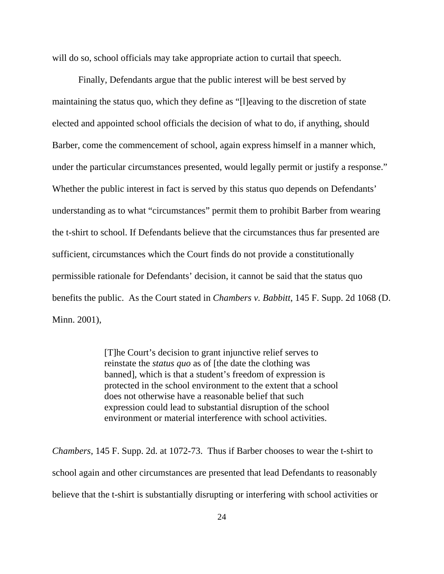will do so, school officials may take appropriate action to curtail that speech.

Finally, Defendants argue that the public interest will be best served by maintaining the status quo, which they define as "[l]eaving to the discretion of state elected and appointed school officials the decision of what to do, if anything, should Barber, come the commencement of school, again express himself in a manner which, under the particular circumstances presented, would legally permit or justify a response." Whether the public interest in fact is served by this status quo depends on Defendants' understanding as to what "circumstances" permit them to prohibit Barber from wearing the t-shirt to school. If Defendants believe that the circumstances thus far presented are sufficient, circumstances which the Court finds do not provide a constitutionally permissible rationale for Defendants' decision, it cannot be said that the status quo benefits the public. As the Court stated in *Chambers v. Babbitt*, 145 F. Supp. 2d 1068 (D. Minn. 2001),

> [T]he Court's decision to grant injunctive relief serves to reinstate the *status quo* as of [the date the clothing was banned], which is that a student's freedom of expression is protected in the school environment to the extent that a school does not otherwise have a reasonable belief that such expression could lead to substantial disruption of the school environment or material interference with school activities.

*Chambers*, 145 F. Supp. 2d. at 1072-73. Thus if Barber chooses to wear the t-shirt to school again and other circumstances are presented that lead Defendants to reasonably believe that the t-shirt is substantially disrupting or interfering with school activities or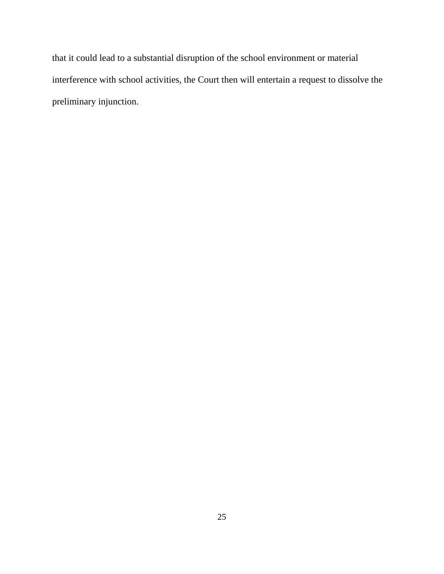that it could lead to a substantial disruption of the school environment or material interference with school activities, the Court then will entertain a request to dissolve the preliminary injunction.